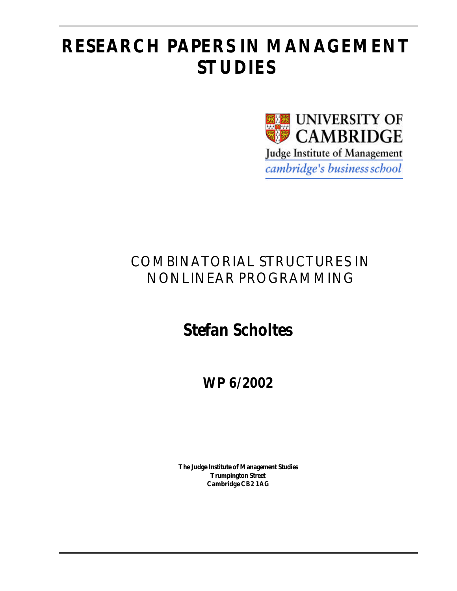# **RESEARCH PAPERS IN MANAGEMENT STUDIES**



## COMBINATORIAL STRUCTURES IN NONLINEAR PROGRAMMING

# **Stefan Scholtes**

**WP 6/2002**

**The Judge Institute of Management Studies Trumpington Street Cambridge CB2 1AG**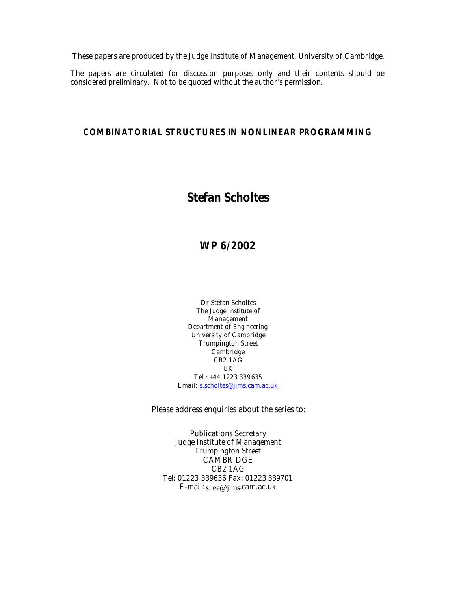These papers are produced by the Judge Institute of Management, University of Cambridge.

The papers are circulated for discussion purposes only and their contents should be considered preliminary. Not to be quoted without the author's permission.

#### **COMBINATORIAL STRUCTURES IN NONLINEAR PROGRAMMING**

## **Stefan Scholtes**

## **WP 6/2002**

Dr Stefan Scholtes The Judge Institute of **Management** Department of Engineering University of Cambridge Trumpington Street Cambridge CB2 1AG UK Tel.: +44 1223 339635 Email: s.scholtes@jims.cam.ac.uk

Please address enquiries about the series to:

Publications Secretary Judge Institute of Management Trumpington Street **CAMBRIDGE** CB2 1AG Tel: 01223 339636 Fax: 01223 339701 E-mail: s.lee@jims.cam.ac.uk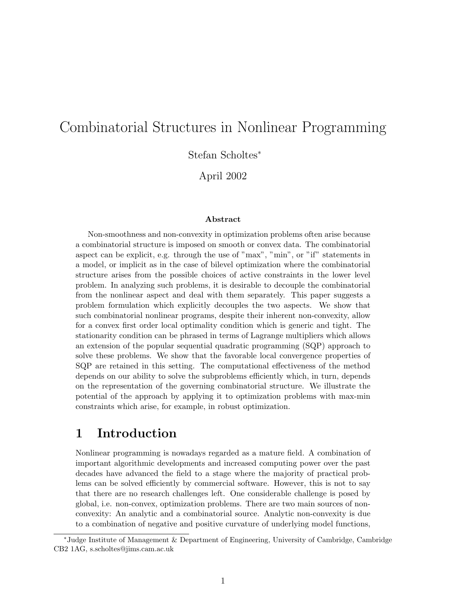## Combinatorial Structures in Nonlinear Programming

Stefan Scholtes<sup>∗</sup>

April 2002

#### Abstract

Non-smoothness and non-convexity in optimization problems often arise because a combinatorial structure is imposed on smooth or convex data. The combinatorial aspect can be explicit, e.g. through the use of "max", "min", or "if" statements in a model, or implicit as in the case of bilevel optimization where the combinatorial structure arises from the possible choices of active constraints in the lower level problem. In analyzing such problems, it is desirable to decouple the combinatorial from the nonlinear aspect and deal with them separately. This paper suggests a problem formulation which explicitly decouples the two aspects. We show that such combinatorial nonlinear programs, despite their inherent non-convexity, allow for a convex first order local optimality condition which is generic and tight. The stationarity condition can be phrased in terms of Lagrange multipliers which allows an extension of the popular sequential quadratic programming (SQP) approach to solve these problems. We show that the favorable local convergence properties of SQP are retained in this setting. The computational effectiveness of the method depends on our ability to solve the subproblems efficiently which, in turn, depends on the representation of the governing combinatorial structure. We illustrate the potential of the approach by applying it to optimization problems with max-min constraints which arise, for example, in robust optimization.

## 1 Introduction

Nonlinear programming is nowadays regarded as a mature field. A combination of important algorithmic developments and increased computing power over the past decades have advanced the field to a stage where the majority of practical problems can be solved efficiently by commercial software. However, this is not to say that there are no research challenges left. One considerable challenge is posed by global, i.e. non-convex, optimization problems. There are two main sources of nonconvexity: An analytic and a combinatorial source. Analytic non-convexity is due to a combination of negative and positive curvature of underlying model functions,

<sup>∗</sup>Judge Institute of Management & Department of Engineering, University of Cambridge, Cambridge CB2 1AG, s.scholtes@jims.cam.ac.uk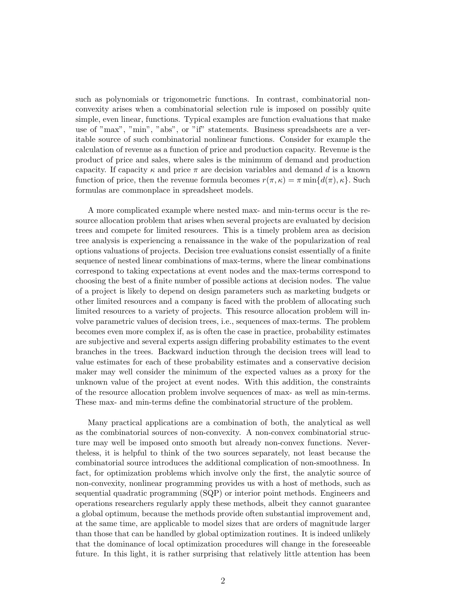such as polynomials or trigonometric functions. In contrast, combinatorial nonconvexity arises when a combinatorial selection rule is imposed on possibly quite simple, even linear, functions. Typical examples are function evaluations that make use of "max", "min", "abs", or "if" statements. Business spreadsheets are a veritable source of such combinatorial nonlinear functions. Consider for example the calculation of revenue as a function of price and production capacity. Revenue is the product of price and sales, where sales is the minimum of demand and production capacity. If capacity  $\kappa$  and price  $\pi$  are decision variables and demand d is a known function of price, then the revenue formula becomes  $r(\pi, \kappa) = \pi \min\{d(\pi), \kappa\}$ . Such formulas are commonplace in spreadsheet models.

A more complicated example where nested max- and min-terms occur is the resource allocation problem that arises when several projects are evaluated by decision trees and compete for limited resources. This is a timely problem area as decision tree analysis is experiencing a renaissance in the wake of the popularization of real options valuations of projects. Decision tree evaluations consist essentially of a finite sequence of nested linear combinations of max-terms, where the linear combinations correspond to taking expectations at event nodes and the max-terms correspond to choosing the best of a finite number of possible actions at decision nodes. The value of a project is likely to depend on design parameters such as marketing budgets or other limited resources and a company is faced with the problem of allocating such limited resources to a variety of projects. This resource allocation problem will involve parametric values of decision trees, i.e., sequences of max-terms. The problem becomes even more complex if, as is often the case in practice, probability estimates are subjective and several experts assign differing probability estimates to the event branches in the trees. Backward induction through the decision trees will lead to value estimates for each of these probability estimates and a conservative decision maker may well consider the minimum of the expected values as a proxy for the unknown value of the project at event nodes. With this addition, the constraints of the resource allocation problem involve sequences of max- as well as min-terms. These max- and min-terms define the combinatorial structure of the problem.

Many practical applications are a combination of both, the analytical as well as the combinatorial sources of non-convexity. A non-convex combinatorial structure may well be imposed onto smooth but already non-convex functions. Nevertheless, it is helpful to think of the two sources separately, not least because the combinatorial source introduces the additional complication of non-smoothness. In fact, for optimization problems which involve only the first, the analytic source of non-convexity, nonlinear programming provides us with a host of methods, such as sequential quadratic programming (SQP) or interior point methods. Engineers and operations researchers regularly apply these methods, albeit they cannot guarantee a global optimum, because the methods provide often substantial improvement and, at the same time, are applicable to model sizes that are orders of magnitude larger than those that can be handled by global optimization routines. It is indeed unlikely that the dominance of local optimization procedures will change in the foreseeable future. In this light, it is rather surprising that relatively little attention has been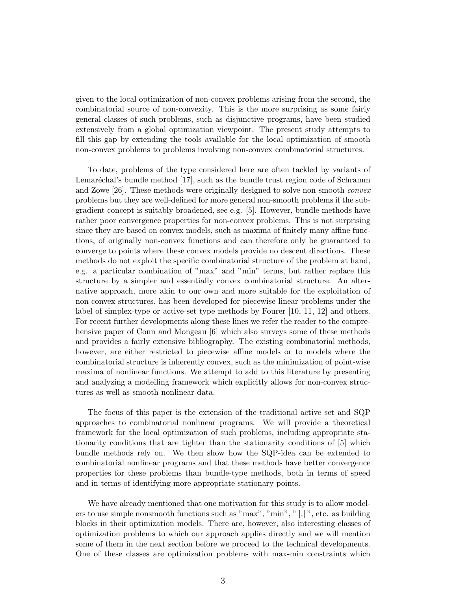given to the local optimization of non-convex problems arising from the second, the combinatorial source of non-convexity. This is the more surprising as some fairly general classes of such problems, such as disjunctive programs, have been studied extensively from a global optimization viewpoint. The present study attempts to fill this gap by extending the tools available for the local optimization of smooth non-convex problems to problems involving non-convex combinatorial structures.

To date, problems of the type considered here are often tackled by variants of Lemaréchal's bundle method [17], such as the bundle trust region code of Schramm and Zowe [26]. These methods were originally designed to solve non-smooth convex problems but they are well-defined for more general non-smooth problems if the subgradient concept is suitably broadened, see e.g. [5]. However, bundle methods have rather poor convergence properties for non-convex problems. This is not surprising since they are based on convex models, such as maxima of finitely many affine functions, of originally non-convex functions and can therefore only be guaranteed to converge to points where these convex models provide no descent directions. These methods do not exploit the specific combinatorial structure of the problem at hand, e.g. a particular combination of "max" and "min" terms, but rather replace this structure by a simpler and essentially convex combinatorial structure. An alternative approach, more akin to our own and more suitable for the exploitation of non-convex structures, has been developed for piecewise linear problems under the label of simplex-type or active-set type methods by Fourer [10, 11, 12] and others. For recent further developments along these lines we refer the reader to the comprehensive paper of Conn and Mongeau [6] which also surveys some of these methods and provides a fairly extensive bibliography. The existing combinatorial methods, however, are either restricted to piecewise affine models or to models where the combinatorial structure is inherently convex, such as the minimization of point-wise maxima of nonlinear functions. We attempt to add to this literature by presenting and analyzing a modelling framework which explicitly allows for non-convex structures as well as smooth nonlinear data.

The focus of this paper is the extension of the traditional active set and SQP approaches to combinatorial nonlinear programs. We will provide a theoretical framework for the local optimization of such problems, including appropriate stationarity conditions that are tighter than the stationarity conditions of [5] which bundle methods rely on. We then show how the SQP-idea can be extended to combinatorial nonlinear programs and that these methods have better convergence properties for these problems than bundle-type methods, both in terms of speed and in terms of identifying more appropriate stationary points.

We have already mentioned that one motivation for this study is to allow modelers to use simple nonsmooth functions such as "max", "min", " $\|.\|$ ", etc. as building blocks in their optimization models. There are, however, also interesting classes of optimization problems to which our approach applies directly and we will mention some of them in the next section before we proceed to the technical developments. One of these classes are optimization problems with max-min constraints which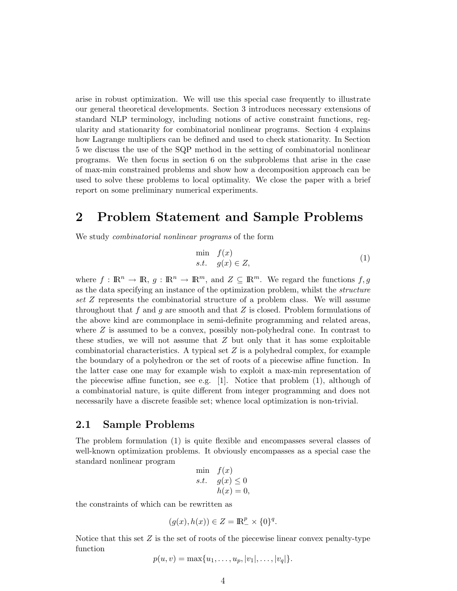arise in robust optimization. We will use this special case frequently to illustrate our general theoretical developments. Section 3 introduces necessary extensions of standard NLP terminology, including notions of active constraint functions, regularity and stationarity for combinatorial nonlinear programs. Section 4 explains how Lagrange multipliers can be defined and used to check stationarity. In Section 5 we discuss the use of the SQP method in the setting of combinatorial nonlinear programs. We then focus in section 6 on the subproblems that arise in the case of max-min constrained problems and show how a decomposition approach can be used to solve these problems to local optimality. We close the paper with a brief report on some preliminary numerical experiments.

### 2 Problem Statement and Sample Problems

We study combinatorial nonlinear programs of the form

$$
\min_{s.t.} f(x) \ns.t. g(x) \in Z,
$$
\n(1)

where  $f : \mathbb{R}^n \to \mathbb{R}, g : \mathbb{R}^n \to \mathbb{R}^m$ , and  $Z \subseteq \mathbb{R}^m$ . We regard the functions  $f, g$ as the data specifying an instance of the optimization problem, whilst the structure set Z represents the combinatorial structure of a problem class. We will assume throughout that f and g are smooth and that Z is closed. Problem formulations of the above kind are commonplace in semi-definite programming and related areas, where Z is assumed to be a convex, possibly non-polyhedral cone. In contrast to these studies, we will not assume that  $Z$  but only that it has some exploitable combinatorial characteristics. A typical set  $Z$  is a polyhedral complex, for example the boundary of a polyhedron or the set of roots of a piecewise affine function. In the latter case one may for example wish to exploit a max-min representation of the piecewise affine function, see e.g.  $[1]$ . Notice that problem  $(1)$ , although of a combinatorial nature, is quite different from integer programming and does not necessarily have a discrete feasible set; whence local optimization is non-trivial.

#### 2.1 Sample Problems

The problem formulation (1) is quite flexible and encompasses several classes of well-known optimization problems. It obviously encompasses as a special case the standard nonlinear program

$$
\begin{array}{ll}\n\min & f(x) \\
s.t. & g(x) \le 0 \\
h(x) = 0,\n\end{array}
$$

the constraints of which can be rewritten as

$$
(g(x), h(x)) \in Z = \mathbb{R}_{-}^{p} \times \{0\}^{q}.
$$

Notice that this set  $Z$  is the set of roots of the piecewise linear convex penalty-type function

$$
p(u, v) = \max\{u_1, \ldots, u_p, |v_1|, \ldots, |v_q|\}.
$$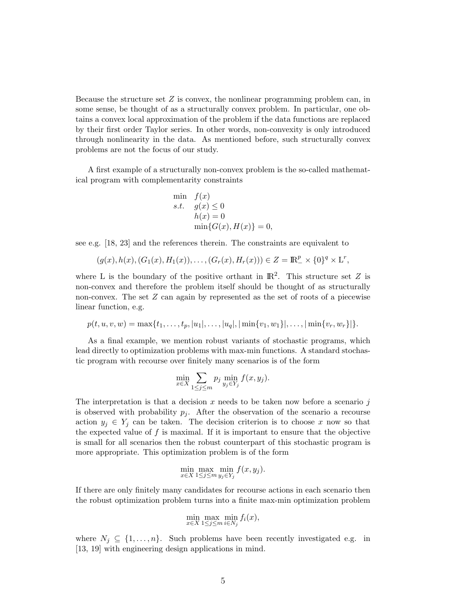Because the structure set  $Z$  is convex, the nonlinear programming problem can, in some sense, be thought of as a structurally convex problem. In particular, one obtains a convex local approximation of the problem if the data functions are replaced by their first order Taylor series. In other words, non-convexity is only introduced through nonlinearity in the data. As mentioned before, such structurally convex problems are not the focus of our study.

A first example of a structurally non-convex problem is the so-called mathematical program with complementarity constraints

$$
\begin{aligned}\n\min \quad & f(x) \\
s.t. \quad & g(x) \le 0 \\
& h(x) = 0 \\
& \min\{G(x), H(x)\} = 0,\n\end{aligned}
$$

see e.g. [18, 23] and the references therein. The constraints are equivalent to

$$
(g(x), h(x), (G_1(x), H_1(x)), \dots, (G_r(x), H_r(x))) \in Z = \mathbb{R}^p_-\times \{0\}^q \times \mathcal{L}^r,
$$

where L is the boundary of the positive orthant in  $\mathbb{R}^2$ . This structure set Z is non-convex and therefore the problem itself should be thought of as structurally non-convex. The set Z can again by represented as the set of roots of a piecewise linear function, e.g.

$$
p(t, u, v, w) = \max\{t_1, \ldots, t_p, |u_1|, \ldots, |u_q|, |\min\{v_1, w_1\}|, \ldots, |\min\{v_r, w_r\}|\}.
$$

As a final example, we mention robust variants of stochastic programs, which lead directly to optimization problems with max-min functions. A standard stochastic program with recourse over finitely many scenarios is of the form

$$
\min_{x \in X} \sum_{1 \le j \le m} p_j \min_{y_j \in Y_j} f(x, y_j).
$$

The interpretation is that a decision x needs to be taken now before a scenario  $j$ is observed with probability  $p_i$ . After the observation of the scenario a recourse action  $y_j \in Y_j$  can be taken. The decision criterion is to choose x now so that the expected value of  $f$  is maximal. If it is important to ensure that the objective is small for all scenarios then the robust counterpart of this stochastic program is more appropriate. This optimization problem is of the form

$$
\min_{x \in X} \max_{1 \le j \le m} \min_{y_j \in Y_j} f(x, y_j).
$$

If there are only finitely many candidates for recourse actions in each scenario then the robust optimization problem turns into a finite max-min optimization problem

$$
\min_{x \in X} \max_{1 \le j \le m} \min_{i \in N_j} f_i(x),
$$

where  $N_j \subseteq \{1, \ldots, n\}$ . Such problems have been recently investigated e.g. in [13, 19] with engineering design applications in mind.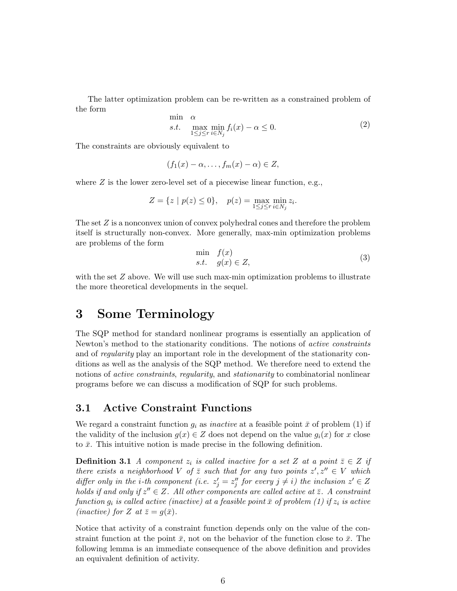The latter optimization problem can be re-written as a constrained problem of the form

$$
\min_{\alpha} \alpha \max_{1 \le j \le r} \min_{i \in N_j} f_i(x) - \alpha \le 0. \tag{2}
$$

The constraints are obviously equivalent to

$$
(f_1(x) - \alpha, \dots, f_m(x) - \alpha) \in Z,
$$

where  $Z$  is the lower zero-level set of a piecewise linear function, e.g.,

$$
Z = \{ z \mid p(z) \le 0 \}, \quad p(z) = \max_{1 \le j \le r} \min_{i \in N_j} z_i.
$$

The set  $Z$  is a nonconvex union of convex polyhedral cones and therefore the problem itself is structurally non-convex. More generally, max-min optimization problems are problems of the form

$$
\min_{s.t.} f(x) \ns.t. g(x) \in Z,
$$
\n(3)

with the set  $Z$  above. We will use such max-min optimization problems to illustrate the more theoretical developments in the sequel.

### 3 Some Terminology

The SQP method for standard nonlinear programs is essentially an application of Newton's method to the stationarity conditions. The notions of active constraints and of regularity play an important role in the development of the stationarity conditions as well as the analysis of the SQP method. We therefore need to extend the notions of *active constraints*, *regularity*, and *stationarity* to combinatorial nonlinear programs before we can discuss a modification of SQP for such problems.

#### 3.1 Active Constraint Functions

We regard a constraint function  $g_i$  as *inactive* at a feasible point  $\bar{x}$  of problem (1) if the validity of the inclusion  $g(x) \in Z$  does not depend on the value  $g_i(x)$  for x close to  $\bar{x}$ . This intuitive notion is made precise in the following definition.

**Definition 3.1** A component  $z_i$  is called inactive for a set Z at a point  $\bar{z} \in Z$  if there exists a neighborhood V of  $\overline{z}$  such that for any two points  $z', z'' \in V$  which differ only in the *i*-th component (i.e.  $z'_j = z''_j$  for every  $j \neq i$ ) the inclusion  $z' \in Z$ holds if and only if  $z'' \in Z$ . All other components are called active at  $\bar{z}$ . A constraint function  $g_i$  is called active (inactive) at a feasible point  $\bar{x}$  of problem (1) if  $z_i$  is active (*inactive*) for Z at  $\bar{z}=g(\bar{x})$ .

Notice that activity of a constraint function depends only on the value of the constraint function at the point  $\bar{x}$ , not on the behavior of the function close to  $\bar{x}$ . The following lemma is an immediate consequence of the above definition and provides an equivalent definition of activity.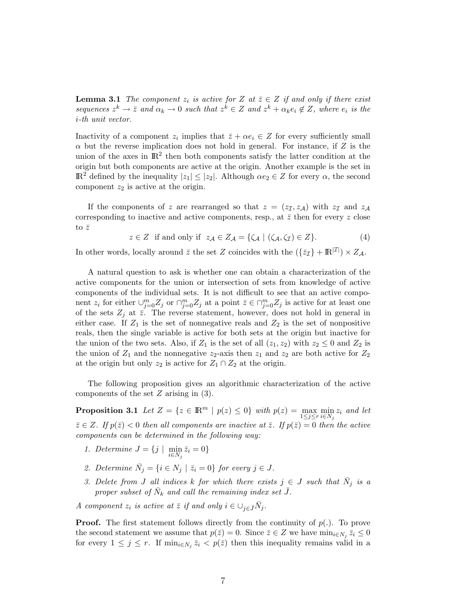**Lemma 3.1** The component  $z_i$  is active for Z at  $\overline{z} \in Z$  if and only if there exist sequences  $z^k \to \overline{z}$  and  $\alpha_k \to 0$  such that  $z^k \in Z$  and  $z^k + \alpha_k e_i \notin Z$ , where  $e_i$  is the i-th unit vector.

Inactivity of a component  $z_i$  implies that  $\overline{z} + \alpha e_i \in Z$  for every sufficiently small  $\alpha$  but the reverse implication does not hold in general. For instance, if Z is the union of the axes in  $\mathbb{R}^2$  then both components satisfy the latter condition at the origin but both components are active at the origin. Another example is the set in  $\mathbb{R}^2$  defined by the inequality  $|z_1| \leq |z_2|$ . Although  $\alpha e_2 \in Z$  for every  $\alpha$ , the second component  $z_2$  is active at the origin.

If the components of z are rearranged so that  $z = (z_{\mathcal{I}}, z_{\mathcal{A}})$  with  $z_{\mathcal{I}}$  and  $z_{\mathcal{A}}$ corresponding to inactive and active components, resp., at  $\bar{z}$  then for every z close to  $\bar{z}$ 

$$
z \in Z \text{ if and only if } z_{\mathcal{A}} \in Z_{\mathcal{A}} = \{ \zeta_{\mathcal{A}} \mid (\zeta_{\mathcal{A}}, \zeta_{\mathcal{I}}) \in Z \}. \tag{4}
$$

In other words, locally around  $\bar{z}$  the set Z coincides with the  $(\{\bar{z}_\mathcal{I}\} + \mathbb{R}^{|\mathcal{I}|}) \times Z_{\mathcal{A}}$ .

A natural question to ask is whether one can obtain a characterization of the active components for the union or intersection of sets from knowledge of active components of the individual sets. It is not difficult to see that an active component  $z_i$  for either  $\cup_{j=0}^m Z_j$  or  $\cap_{j=0}^m Z_j$  at a point  $\overline{z} \in \cap_{j=0}^m Z_j$  is active for at least one of the sets  $Z_j$  at  $\bar{z}$ . The reverse statement, however, does not hold in general in either case. If  $Z_1$  is the set of nonnegative reals and  $Z_2$  is the set of nonpositive reals, then the single variable is active for both sets at the origin but inactive for the union of the two sets. Also, if  $Z_1$  is the set of all  $(z_1, z_2)$  with  $z_2 \leq 0$  and  $Z_2$  is the union of  $Z_1$  and the nonnegative  $z_2$ -axis then  $z_1$  and  $z_2$  are both active for  $Z_2$ at the origin but only  $z_2$  is active for  $Z_1 \cap Z_2$  at the origin.

The following proposition gives an algorithmic characterization of the active components of the set Z arising in (3).

**Proposition 3.1** Let  $Z = \{z \in \mathbb{R}^m \mid p(z) \leq 0\}$  with  $p(z) = \max_{1 \leq j \leq r} \min_{i \in N_j} z_i$  and let  $\bar{z} \in Z$ . If  $p(\bar{z}) < 0$  then all components are inactive at  $\bar{z}$ . If  $p(\bar{z}) = 0$  then the active components can be determined in the following way:

- 1. Determine  $J = \{j \mid \min_{i \in N_j} \bar{z}_i = 0\}$
- 2. Determine  $\overline{N}_j = \{i \in N_j \mid \overline{z}_i = 0\}$  for every  $j \in J$ .
- 3. Delete from J all indices k for which there exists  $j \in J$  such that  $\bar{N}_j$  is a proper subset of  $\bar{N}_k$  and call the remaining index set  $\bar{J}$ .

A component  $z_i$  is active at  $\overline{z}$  if and only  $i \in \bigcup_{j \in \overline{J}} \overline{N}_j$ .

**Proof.** The first statement follows directly from the continuity of  $p(.)$ . To prove the second statement we assume that  $p(\bar{z}) = 0$ . Since  $\bar{z} \in Z$  we have  $\min_{i \in N_j} \bar{z}_i \leq 0$ for every  $1 \leq j \leq r$ . If  $\min_{i \in N_j} \bar{z}_i < p(\bar{z})$  then this inequality remains valid in a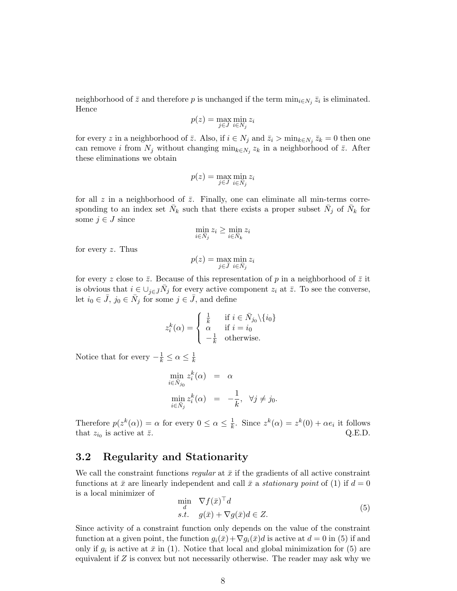neighborhood of  $\bar{z}$  and therefore p is unchanged if the term  $\min_{i \in N_j} \bar{z}_i$  is eliminated. Hence

$$
p(z) = \max_{j \in J} \min_{i \in N_j} z_i
$$

for every z in a neighborhood of  $\bar{z}$ . Also, if  $i \in N_j$  and  $\bar{z}_i > \min_{k \in N_j} \bar{z}_k = 0$  then one can remove *i* from  $N_j$  without changing  $\min_{k \in N_j} z_k$  in a neighborhood of  $\overline{z}$ . After these eliminations we obtain

$$
p(z) = \max_{j \in J} \min_{i \in \bar{N}_j} z_i
$$

for all z in a neighborhood of  $\bar{z}$ . Finally, one can eliminate all min-terms corresponding to an index set  $\bar{N}_k$  such that there exists a proper subset  $\bar{N}_j$  of  $\bar{N}_k$  for some  $j \in J$  since

$$
\min_{i \in \bar{N}_j} z_i \ge \min_{i \in \bar{N}_k} z_i
$$

for every  $z$ . Thus

$$
p(z) = \max_{j \in \bar{J}} \min_{i \in \bar{N}_j} z_i
$$

for every z close to  $\bar{z}$ . Because of this representation of p in a neighborhood of  $\bar{z}$  it is obvious that  $i \in \bigcup_{j \in \bar{J}} \bar{N}_j$  for every active component  $z_i$  at  $\bar{z}$ . To see the converse, let  $i_0 \in \bar{J}$ ,  $j_0 \in \bar{N}_j$  for some  $j \in \bar{J}$ , and define

$$
z_i^k(\alpha) = \begin{cases} \frac{1}{k} & \text{if } i \in \bar{N}_{j_0} \setminus \{i_0\} \\ \alpha & \text{if } i = i_0 \\ -\frac{1}{k} & \text{otherwise.} \end{cases}
$$

Notice that for every  $-\frac{1}{k} \leq \alpha \leq \frac{1}{k}$  $\overline{k}$ 

$$
\min_{i \in \bar{N}_{j_0}} z_i^k(\alpha) = \alpha
$$
  
\n
$$
\min_{i \in \bar{N}_j} z_i^k(\alpha) = -\frac{1}{k}, \quad \forall j \neq j_0.
$$

Therefore  $p(z^k(\alpha)) = \alpha$  for every  $0 \leq \alpha \leq \frac{1}{k}$  $\frac{1}{k}$ . Since  $z^k(\alpha) = z^k(0) + \alpha e_i$  it follows that  $z_{i_0}$  is active at  $\bar{z}$ . Q.E.D.

#### 3.2 Regularity and Stationarity

We call the constraint functions regular at  $\bar{x}$  if the gradients of all active constraint functions at  $\bar{x}$  are linearly independent and call  $\bar{x}$  a *stationary point* of (1) if  $d = 0$ is a local minimizer of

$$
\min_{\substack{d \\ \text{s.t.}}} \quad \nabla f(\bar{x})^\top d\\
\text{s.t.} \quad g(\bar{x}) + \nabla g(\bar{x})d \in Z.
$$
\n<sup>(5)</sup>

Since activity of a constraint function only depends on the value of the constraint function at a given point, the function  $g_i(\bar{x})+\nabla g_i(\bar{x})d$  is active at  $d=0$  in (5) if and only if  $g_i$  is active at  $\bar{x}$  in (1). Notice that local and global minimization for (5) are equivalent if Z is convex but not necessarily otherwise. The reader may ask why we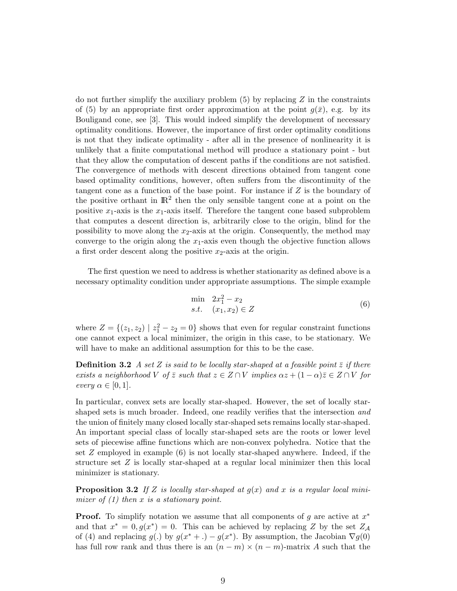do not further simplify the auxiliary problem  $(5)$  by replacing Z in the constraints of (5) by an appropriate first order approximation at the point  $q(\bar{x})$ , e.g. by its Bouligand cone, see [3]. This would indeed simplify the development of necessary optimality conditions. However, the importance of first order optimality conditions is not that they indicate optimality - after all in the presence of nonlinearity it is unlikely that a finite computational method will produce a stationary point - but that they allow the computation of descent paths if the conditions are not satisfied. The convergence of methods with descent directions obtained from tangent cone based optimality conditions, however, often suffers from the discontinuity of the tangent cone as a function of the base point. For instance if  $Z$  is the boundary of the positive orthant in  $\mathbb{R}^2$  then the only sensible tangent cone at a point on the positive  $x_1$ -axis is the  $x_1$ -axis itself. Therefore the tangent cone based subproblem that computes a descent direction is, arbitrarily close to the origin, blind for the possibility to move along the  $x_2$ -axis at the origin. Consequently, the method may converge to the origin along the  $x_1$ -axis even though the objective function allows a first order descent along the positive  $x_2$ -axis at the origin.

The first question we need to address is whether stationarity as defined above is a necessary optimality condition under appropriate assumptions. The simple example

$$
\min \quad 2x_1^2 - x_2s.t. \quad (x_1, x_2) \in Z
$$
\n(6)

where  $Z = \{(z_1, z_2) \mid z_1^2 - z_2 = 0\}$  shows that even for regular constraint functions one cannot expect a local minimizer, the origin in this case, to be stationary. We will have to make an additional assumption for this to be the case.

**Definition 3.2** A set Z is said to be locally star-shaped at a feasible point  $\overline{z}$  if there exists a neighborhood V of  $\bar{z}$  such that  $z \in Z \cap V$  implies  $\alpha z + (1 - \alpha)\bar{z} \in Z \cap V$  for every  $\alpha \in [0,1]$ .

In particular, convex sets are locally star-shaped. However, the set of locally starshaped sets is much broader. Indeed, one readily verifies that the intersection and the union of finitely many closed locally star-shaped sets remains locally star-shaped. An important special class of locally star-shaped sets are the roots or lower level sets of piecewise affine functions which are non-convex polyhedra. Notice that the set  $Z$  employed in example  $(6)$  is not locally star-shaped anywhere. Indeed, if the structure set  $Z$  is locally star-shaped at a regular local minimizer then this local minimizer is stationary.

**Proposition 3.2** If Z is locally star-shaped at  $g(x)$  and x is a regular local minimizer of  $(1)$  then x is a stationary point.

**Proof.** To simplify notation we assume that all components of g are active at  $x^*$ and that  $x^* = 0, g(x^*) = 0$ . This can be achieved by replacing Z by the set  $Z_A$ of (4) and replacing  $g(.)$  by  $g(x^* + .) - g(x^*)$ . By assumption, the Jacobian  $\nabla g(0)$ has full row rank and thus there is an  $(n - m) \times (n - m)$ -matrix A such that the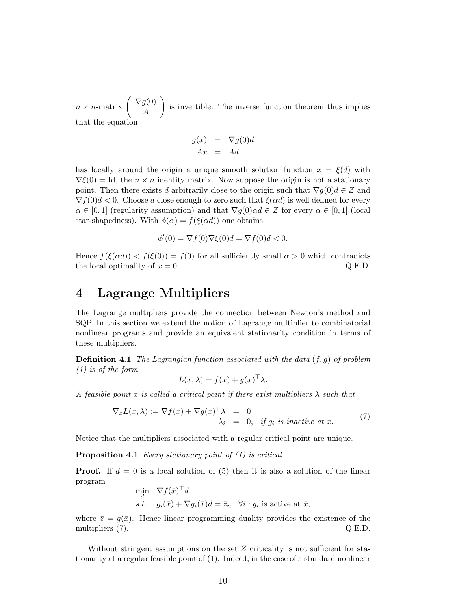$n \times n$ -matrix  $\begin{pmatrix} \nabla g(0) \\ 4 \end{pmatrix}$ A !<br>} is invertible. The inverse function theorem thus implies that the equation

$$
g(x) = \nabla g(0)d
$$
  

$$
Ax = Ad
$$

has locally around the origin a unique smooth solution function  $x = \xi(d)$  with  $\nabla \xi(0) = \text{Id}$ , the  $n \times n$  identity matrix. Now suppose the origin is not a stationary point. Then there exists d arbitrarily close to the origin such that  $\nabla q(0)d \in Z$  and  $\nabla f(0)d < 0$ . Choose d close enough to zero such that  $\xi(\alpha d)$  is well defined for every  $\alpha \in [0,1]$  (regularity assumption) and that  $\nabla q(0) \alpha d \in Z$  for every  $\alpha \in [0,1]$  (local star-shapedness). With  $\phi(\alpha) = f(\xi(\alpha d))$  one obtains

$$
\phi'(0) = \nabla f(0)\nabla \xi(0)d = \nabla f(0)d < 0.
$$

Hence  $f(\xi(\alpha d)) < f(\xi(0)) = f(0)$  for all sufficiently small  $\alpha > 0$  which contradicts the local optimality of  $x = 0$ . Q.E.D.

## 4 Lagrange Multipliers

The Lagrange multipliers provide the connection between Newton's method and SQP. In this section we extend the notion of Lagrange multiplier to combinatorial nonlinear programs and provide an equivalent stationarity condition in terms of these multipliers.

**Definition 4.1** The Lagrangian function associated with the data  $(f, g)$  of problem (1) is of the form

$$
L(x, \lambda) = f(x) + g(x)^\top \lambda.
$$

A feasible point x is called a critical point if there exist multipliers  $\lambda$  such that

$$
\nabla_x L(x,\lambda) := \nabla f(x) + \nabla g(x)^\top \lambda = 0
$$
  

$$
\lambda_i = 0, \text{ if } g_i \text{ is inactive at } x.
$$
 (7)

Notice that the multipliers associated with a regular critical point are unique.

Proposition 4.1 Every stationary point of (1) is critical.

**Proof.** If  $d = 0$  is a local solution of (5) then it is also a solution of the linear program

$$
\min_{d} \quad \nabla f(\bar{x})^{\top} d \ns.t. \quad g_i(\bar{x}) + \nabla g_i(\bar{x}) d = \bar{z}_i, \quad \forall i : g_i \text{ is active at } \bar{x},
$$

where  $\bar{z} = q(\bar{x})$ . Hence linear programming duality provides the existence of the multipliers (7). Q.E.D.

Without stringent assumptions on the set Z criticality is not sufficient for stationarity at a regular feasible point of (1). Indeed, in the case of a standard nonlinear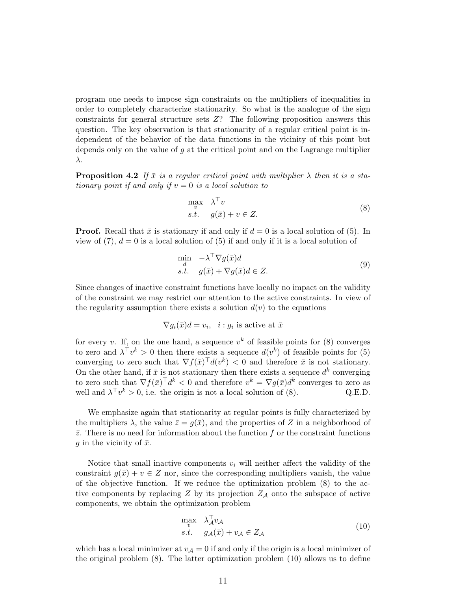program one needs to impose sign constraints on the multipliers of inequalities in order to completely characterize stationarity. So what is the analogue of the sign constraints for general structure sets Z? The following proposition answers this question. The key observation is that stationarity of a regular critical point is independent of the behavior of the data functions in the vicinity of this point but depends only on the value of  $g$  at the critical point and on the Lagrange multiplier λ.

**Proposition 4.2** If  $\bar{x}$  is a regular critical point with multiplier  $\lambda$  then it is a stationary point if and only if  $v = 0$  is a local solution to

$$
\max_{v} \quad \lambda^{\top} v
$$
  
s.t.  $g(\bar{x}) + v \in Z.$  (8)

**Proof.** Recall that  $\bar{x}$  is stationary if and only if  $d = 0$  is a local solution of (5). In view of  $(7)$ ,  $d = 0$  is a local solution of  $(5)$  if and only if it is a local solution of

$$
\min_{\substack{d \\ \text{s.t.}}} \quad -\lambda^{\top} \nabla g(\bar{x}) d
$$
\n
$$
\text{s.t.} \quad g(\bar{x}) + \nabla g(\bar{x}) d \in Z. \tag{9}
$$

Since changes of inactive constraint functions have locally no impact on the validity of the constraint we may restrict our attention to the active constraints. In view of the regularity assumption there exists a solution  $d(v)$  to the equations

$$
\nabla g_i(\bar{x})d = v_i, \quad i : g_i \text{ is active at } \bar{x}
$$

for every v. If, on the one hand, a sequence  $v^k$  of feasible points for (8) converges to zero and  $\lambda^{\top} v^k > 0$  then there exists a sequence  $d(v^k)$  of feasible points for (5) converging to zero such that  $\nabla f(\bar{x})^{\top} d(v^k) < 0$  and therefore  $\bar{x}$  is not stationary. On the other hand, if  $\bar{x}$  is not stationary then there exists a sequence  $d^k$  converging to zero such that  $\nabla f(\bar{x})^{\top} d^k < 0$  and therefore  $v^k = \nabla g(\bar{x}) d^k$  converges to zero as well and  $\lambda^{\top} v^k > 0$ , i.e. the origin is not a local solution of (8). Q.E.D.

We emphasize again that stationarity at regular points is fully characterized by the multipliers  $\lambda$ , the value  $\bar{z} = g(\bar{x})$ , and the properties of Z in a neighborhood of  $\bar{z}$ . There is no need for information about the function f or the constraint functions g in the vicinity of  $\bar{x}$ .

Notice that small inactive components  $v_i$  will neither affect the validity of the constraint  $g(\bar{x}) + v \in Z$  nor, since the corresponding multipliers vanish, the value of the objective function. If we reduce the optimization problem (8) to the active components by replacing  $Z$  by its projection  $Z_A$  onto the subspace of active components, we obtain the optimization problem

$$
\max_{v} \quad \lambda_{\mathcal{A}}^{\top} v_{\mathcal{A}} s.t. \quad g_{\mathcal{A}}(\bar{x}) + v_{\mathcal{A}} \in Z_{\mathcal{A}}
$$
\n(10)

which has a local minimizer at  $v_A = 0$  if and only if the origin is a local minimizer of the original problem (8). The latter optimization problem (10) allows us to define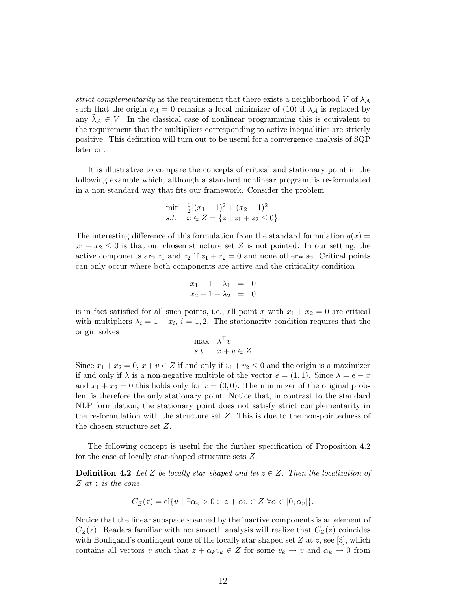strict complementarity as the requirement that there exists a neighborhood V of  $\lambda_A$ such that the origin  $v_A = 0$  remains a local minimizer of (10) if  $\lambda_A$  is replaced by any  $\lambda_A \in V$ . In the classical case of nonlinear programming this is equivalent to the requirement that the multipliers corresponding to active inequalities are strictly positive. This definition will turn out to be useful for a convergence analysis of SQP later on.

It is illustrative to compare the concepts of critical and stationary point in the following example which, although a standard nonlinear program, is re-formulated in a non-standard way that fits our framework. Consider the problem

$$
\min_{x} \frac{1}{2} [(x_1 - 1)^2 + (x_2 - 1)^2]
$$
  
s.t.  $x \in Z = \{z \mid z_1 + z_2 \le 0\}.$ 

The interesting difference of this formulation from the standard formulation  $g(x)$  $x_1 + x_2 \leq 0$  is that our chosen structure set Z is not pointed. In our setting, the active components are  $z_1$  and  $z_2$  if  $z_1 + z_2 = 0$  and none otherwise. Critical points can only occur where both components are active and the criticality condition

$$
x_1 - 1 + \lambda_1 = 0 \n x_2 - 1 + \lambda_2 = 0
$$

is in fact satisfied for all such points, i.e., all point x with  $x_1 + x_2 = 0$  are critical with multipliers  $\lambda_i = 1 - x_i$ ,  $i = 1, 2$ . The stationarity condition requires that the origin solves

$$
\begin{array}{ll}\n\max & \lambda^{\top} v \\
s.t. & x + v \in Z\n\end{array}
$$

Since  $x_1 + x_2 = 0$ ,  $x + v \in Z$  if and only if  $v_1 + v_2 \leq 0$  and the origin is a maximizer if and only if  $\lambda$  is a non-negative multiple of the vector  $e = (1, 1)$ . Since  $\lambda = e - x$ and  $x_1 + x_2 = 0$  this holds only for  $x = (0, 0)$ . The minimizer of the original problem is therefore the only stationary point. Notice that, in contrast to the standard NLP formulation, the stationary point does not satisfy strict complementarity in the re-formulation with the structure set Z. This is due to the non-pointedness of the chosen structure set Z.

The following concept is useful for the further specification of Proposition 4.2 for the case of locally star-shaped structure sets Z.

**Definition 4.2** Let Z be locally star-shaped and let  $z \in Z$ . Then the localization of Z at z is the cone

$$
C_Z(z) = \mathrm{cl}\{v \mid \exists \alpha_v > 0 : z + \alpha v \in Z \,\,\forall \alpha \in [0, \alpha_v] \}.
$$

Notice that the linear subspace spanned by the inactive components is an element of  $C_Z(z)$ . Readers familiar with nonsmooth analysis will realize that  $C_Z(z)$  coincides with Bouligand's contingent cone of the locally star-shaped set  $Z$  at  $z$ , see [3], which contains all vectors v such that  $z + \alpha_k v_k \in Z$  for some  $v_k \to v$  and  $\alpha_k \to 0$  from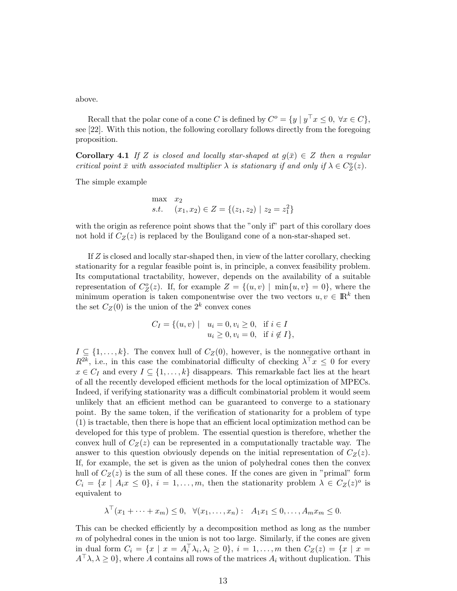above.

Recall that the polar cone of a cone C is defined by  $C^o = \{y \mid y^\top x \leq 0, \forall x \in C\},\$ see [22]. With this notion, the following corollary follows directly from the foregoing proposition.

Corollary 4.1 If Z is closed and locally star-shaped at  $g(\bar{x}) \in Z$  then a regular critical point  $\bar{x}$  with associated multiplier  $\lambda$  is stationary if and only if  $\lambda \in C^o_Z(z)$ .

The simple example

$$
\max_{s.t.} x_2
$$
  
s.t.  $(x_1, x_2) \in Z = \{(z_1, z_2) | z_2 = z_1^2\}$ 

with the origin as reference point shows that the "only if" part of this corollary does not hold if  $C_Z(z)$  is replaced by the Bouligand cone of a non-star-shaped set.

If Z is closed and locally star-shaped then, in view of the latter corollary, checking stationarity for a regular feasible point is, in principle, a convex feasibility problem. Its computational tractability, however, depends on the availability of a suitable representation of  $C_Z^o(z)$ . If, for example  $Z = \{(u, v) \mid \min\{u, v\} = 0\}$ , where the minimum operation is taken componentwise over the two vectors  $u, v \in \mathbb{R}^k$  then the set  $C_Z(0)$  is the union of the  $2^k$  convex cones

$$
C_I = \{ (u, v) \mid u_i = 0, v_i \ge 0, \text{ if } i \in I u_i \ge 0, v_i = 0, \text{ if } i \notin I \},\
$$

 $I \subseteq \{1, \ldots, k\}$ . The convex hull of  $C_Z(0)$ , however, is the nonnegative orthant in  $R^{2k}$ , i.e., in this case the combinatorial difficulty of checking  $\lambda^{\top} x \leq 0$  for every  $x \in C_I$  and every  $I \subseteq \{1, \ldots, k\}$  disappears. This remarkable fact lies at the heart of all the recently developed efficient methods for the local optimization of MPECs. Indeed, if verifying stationarity was a difficult combinatorial problem it would seem unlikely that an efficient method can be guaranteed to converge to a stationary point. By the same token, if the verification of stationarity for a problem of type (1) is tractable, then there is hope that an efficient local optimization method can be developed for this type of problem. The essential question is therefore, whether the convex hull of  $C_Z(z)$  can be represented in a computationally tractable way. The answer to this question obviously depends on the initial representation of  $C_Z(z)$ . If, for example, the set is given as the union of polyhedral cones then the convex hull of  $C_Z(z)$  is the sum of all these cones. If the cones are given in "primal" form  $C_i = \{x \mid A_i x \leq 0\}, i = 1, \ldots, m$ , then the stationarity problem  $\lambda \in C_Z(z)^o$  is equivalent to

$$
\lambda^{\top}(x_1+\cdots+x_m)\leq 0, \quad \forall (x_1,\ldots,x_n): \quad A_1x_1\leq 0,\ldots,A_mx_m\leq 0.
$$

This can be checked efficiently by a decomposition method as long as the number  $m$  of polyhedral cones in the union is not too large. Similarly, if the cones are given in dual form  $C_i = \{x \mid x = A_i^{\top} \lambda_i, \lambda_i \ge 0\}, i = 1, ..., m$  then  $C_Z(z) = \{x \mid x = 1\}$  $A^{\top} \lambda, \lambda \geq 0$ , where A contains all rows of the matrices  $A_i$  without duplication. This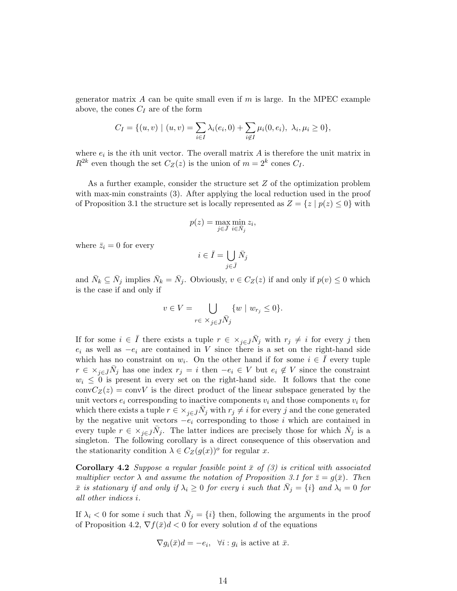generator matrix A can be quite small even if  $m$  is large. In the MPEC example above, the cones  $C_I$  are of the form

$$
C_I = \{ (u, v) \mid (u, v) = \sum_{i \in I} \lambda_i(e_i, 0) + \sum_{i \notin I} \mu_i(0, e_i), \ \lambda_i, \mu_i \ge 0 \},
$$

where  $e_i$  is the *i*th unit vector. The overall matrix A is therefore the unit matrix in  $R^{2k}$  even though the set  $C_Z(z)$  is the union of  $m = 2^k$  cones  $C_I$ .

As a further example, consider the structure set Z of the optimization problem with max-min constraints (3). After applying the local reduction used in the proof of Proposition 3.1 the structure set is locally represented as  $Z = \{z \mid p(z) \leq 0\}$  with

$$
p(z) = \max_{j \in \bar{J}} \min_{i \in \bar{N}_j} z_i,
$$

where  $\bar{z}_i = 0$  for every

$$
i \in \bar{I} = \bigcup_{j \in \bar{J}} \bar{N}_j
$$

and  $\bar{N}_k \subseteq \bar{N}_j$  implies  $\bar{N}_k = \bar{N}_j$ . Obviously,  $v \in C_Z(z)$  if and only if  $p(v) \leq 0$  which is the case if and only if

$$
v \in V = \bigcup_{r \in \times_{j \in \bar{J}} \bar{N}_j} \{w \mid w_{r_j} \le 0\}.
$$

If for some  $i \in \overline{I}$  there exists a tuple  $r \in \times_{j \in \overline{J}} \overline{N}_j$  with  $r_j \neq i$  for every j then  $e_i$  as well as  $-e_i$  are contained in V since there is a set on the right-hand side which has no constraint on  $w_i$ . On the other hand if for some  $i \in \overline{I}$  every tuple  $r \in \times_{j \in \bar{J}} \bar{N}_j$  has one index  $r_j = i$  then  $-e_i \in V$  but  $e_i \notin V$  since the constraint  $w_i \leq 0$  is present in every set on the right-hand side. It follows that the cone  $convC_Z(z) = convV$  is the direct product of the linear subspace generated by the unit vectors  $e_i$  corresponding to inactive components  $v_i$  and those components  $v_i$  for which there exists a tuple  $r \in \times_{j \in \bar{J}} \bar{N}_j$  with  $r_j \neq i$  for every j and the cone generated by the negative unit vectors  $-e_i$  corresponding to those i which are contained in every tuple  $r \in \times_{j \in \bar{J}} \bar{N}_j$ . The latter indices are precisely those for which  $\bar{N}_j$  is a singleton. The following corollary is a direct consequence of this observation and the stationarity condition  $\lambda \in C_Z(g(x))^o$  for regular x.

**Corollary 4.2** Suppose a regular feasible point  $\bar{x}$  of (3) is critical with associated multiplier vector  $\lambda$  and assume the notation of Proposition 3.1 for  $\overline{z} = g(\overline{x})$ . Then  $\bar{x}$  is stationary if and only if  $\lambda_i \geq 0$  for every i such that  $\bar{N}_j = \{i\}$  and  $\lambda_i = 0$  for all other indices i.

If  $\lambda_i$  < 0 for some i such that  $\bar{N}_j = \{i\}$  then, following the arguments in the proof of Proposition 4.2,  $\nabla f(\bar{x})d < 0$  for every solution d of the equations

$$
\nabla g_i(\bar{x})d = -e_i, \quad \forall i : g_i \text{ is active at } \bar{x}.
$$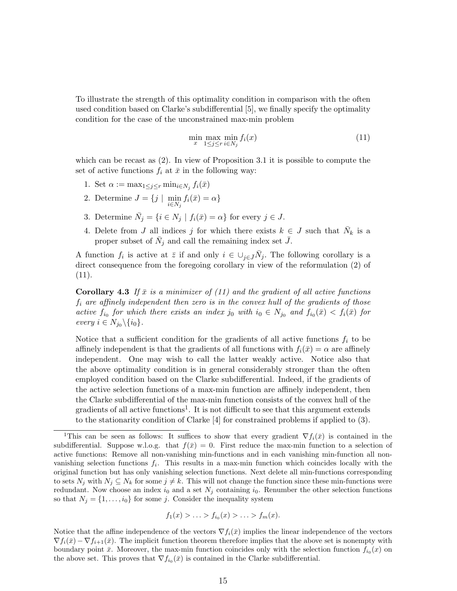To illustrate the strength of this optimality condition in comparison with the often used condition based on Clarke's subdifferential [5], we finally specify the optimality condition for the case of the unconstrained max-min problem

$$
\min_{x} \max_{1 \le j \le r} \min_{i \in N_j} f_i(x) \tag{11}
$$

which can be recast as (2). In view of Proposition 3.1 it is possible to compute the set of active functions  $f_i$  at  $\bar{x}$  in the following way:

- 1. Set  $\alpha := \max_{1 \leq j \leq r} \min_{i \in N_j} f_i(\bar{x})$
- 2. Determine  $J = \{j \mid \min_{i \in N_j} f_i(\bar{x}) = \alpha\}$
- 3. Determine  $\overline{N}_j = \{i \in N_j \mid f_i(\overline{x}) = \alpha\}$  for every  $j \in J$ .
- 4. Delete from J all indices j for which there exists  $k \in J$  such that  $\bar{N}_k$  is a proper subset of  $\bar{N}_j$  and call the remaining index set  $\bar{J}$ .

A function  $f_i$  is active at  $\bar{z}$  if and only  $i \in \bigcup_{j \in \bar{J}} \bar{N}_j$ . The following corollary is a direct consequence from the foregoing corollary in view of the reformulation (2) of (11).

**Corollary 4.3** If  $\bar{x}$  is a minimizer of (11) and the gradient of all active functions  $f_i$  are affinely independent then zero is in the convex hull of the gradients of those active  $f_{i_0}$  for which there exists an index j<sub>0</sub> with  $i_0 \in N_{j_0}$  and  $f_{i_0}(\bar{x}) < f_i(\bar{x})$  for every  $i \in N_{j_0} \backslash \{i_0\}.$ 

Notice that a sufficient condition for the gradients of all active functions  $f_i$  to be affinely independent is that the gradients of all functions with  $f_i(\bar{x}) = \alpha$  are affinely independent. One may wish to call the latter weakly active. Notice also that the above optimality condition is in general considerably stronger than the often employed condition based on the Clarke subdifferential. Indeed, if the gradients of the active selection functions of a max-min function are affinely independent, then the Clarke subdifferential of the max-min function consists of the convex hull of the gradients of all active functions<sup>1</sup>. It is not difficult to see that this argument extends to the stationarity condition of Clarke [4] for constrained problems if applied to (3).

$$
f_1(x) > ... > f_{i_0}(x) > ... > f_m(x).
$$

Notice that the affine independence of the vectors  $\nabla f_i(\bar{x})$  implies the linear independence of the vectors  $\nabla f_i(\bar{x}) - \nabla f_{i+1}(\bar{x})$ . The implicit function theorem therefore implies that the above set is nonempty with boundary point  $\bar{x}$ . Moreover, the max-min function coincides only with the selection function  $f_{i_0}(x)$  on the above set. This proves that  $\nabla f_{i_0}(\bar{x})$  is contained in the Clarke subdifferential.

<sup>&</sup>lt;sup>1</sup>This can be seen as follows: It suffices to show that every gradient  $\nabla f_i(\bar{x})$  is contained in the subdifferential. Suppose w.l.o.g. that  $f(\bar{x}) = 0$ . First reduce the max-min function to a selection of active functions: Remove all non-vanishing min-functions and in each vanishing min-function all nonvanishing selection functions  $f_i$ . This results in a max-min function which coincides locally with the original function but has only vanishing selection functions. Next delete all min-functions corresponding to sets  $N_j$  with  $N_j \subseteq N_k$  for some  $j \neq k$ . This will not change the function since these min-functions were redundant. Now choose an index  $i_0$  and a set  $N_j$  containing  $i_0$ . Renumber the other selection functions so that  $N_j = \{1, \ldots, i_0\}$  for some j. Consider the inequality system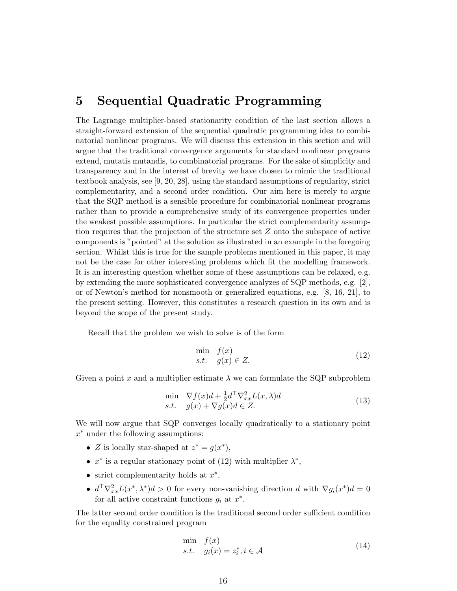## 5 Sequential Quadratic Programming

The Lagrange multiplier-based stationarity condition of the last section allows a straight-forward extension of the sequential quadratic programming idea to combinatorial nonlinear programs. We will discuss this extension in this section and will argue that the traditional convergence arguments for standard nonlinear programs extend, mutatis mutandis, to combinatorial programs. For the sake of simplicity and transparency and in the interest of brevity we have chosen to mimic the traditional textbook analysis, see [9, 20, 28], using the standard assumptions of regularity, strict complementarity, and a second order condition. Our aim here is merely to argue that the SQP method is a sensible procedure for combinatorial nonlinear programs rather than to provide a comprehensive study of its convergence properties under the weakest possible assumptions. In particular the strict complementarity assumption requires that the projection of the structure set Z onto the subspace of active components is "pointed" at the solution as illustrated in an example in the foregoing section. Whilst this is true for the sample problems mentioned in this paper, it may not be the case for other interesting problems which fit the modelling framework. It is an interesting question whether some of these assumptions can be relaxed, e.g. by extending the more sophisticated convergence analyzes of SQP methods, e.g. [2], or of Newton's method for nonsmooth or generalized equations, e.g. [8, 16, 21], to the present setting. However, this constitutes a research question in its own and is beyond the scope of the present study.

Recall that the problem we wish to solve is of the form

$$
\min_{s.t.} f(x) \ns.t. g(x) \in Z.
$$
\n(12)

Given a point x and a multiplier estimate  $\lambda$  we can formulate the SQP subproblem

$$
\min \nabla f(x)d + \frac{1}{2}d^{\top}\nabla_{xx}^{2}L(x,\lambda)d
$$
\n  
\n*s.t.*  $g(x) + \nabla g(x)d \in Z.$  (13)

We will now argue that SQP converges locally quadratically to a stationary point  $x^*$  under the following assumptions:

- Z is locally star-shaped at  $z^* = g(x^*),$
- $x^*$  is a regular stationary point of (12) with multiplier  $\lambda^*$ ,
- strict complementarity holds at  $x^*$ ,
- $d^{\top} \nabla_{xx}^2 L(x^*, \lambda^*) d > 0$  for every non-vanishing direction d with  $\nabla g_i(x^*) d = 0$ for all active constraint functions  $g_i$  at  $x^*$ .

The latter second order condition is the traditional second order sufficient condition for the equality constrained program

$$
\min_{s.t.} f(x) \ns.t. g_i(x) = z_i^*, i \in \mathcal{A}
$$
\n(14)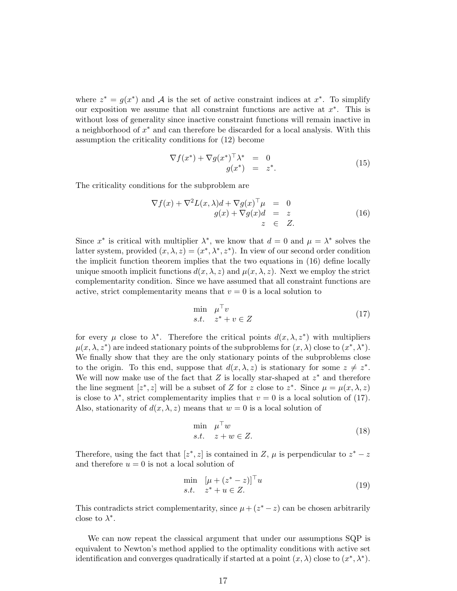where  $z^* = g(x^*)$  and A is the set of active constraint indices at  $x^*$ . To simplify our exposition we assume that all constraint functions are active at  $x^*$ . This is without loss of generality since inactive constraint functions will remain inactive in a neighborhood of  $x^*$  and can therefore be discarded for a local analysis. With this assumption the criticality conditions for (12) become

$$
\nabla f(x^*) + \nabla g(x^*)^\top \lambda^* = 0
$$
  
 
$$
g(x^*) = z^*.
$$
 (15)

The criticality conditions for the subproblem are

$$
\nabla f(x) + \nabla^2 L(x, \lambda) d + \nabla g(x)^\top \mu = 0
$$
  
 
$$
g(x) + \nabla g(x) d = z
$$
  
 
$$
z \in Z.
$$
 (16)

Since  $x^*$  is critical with multiplier  $\lambda^*$ , we know that  $d = 0$  and  $\mu = \lambda^*$  solves the latter system, provided  $(x, \lambda, z) = (x^*, \lambda^*, z^*)$ . In view of our second order condition the implicit function theorem implies that the two equations in (16) define locally unique smooth implicit functions  $d(x, \lambda, z)$  and  $\mu(x, \lambda, z)$ . Next we employ the strict complementarity condition. Since we have assumed that all constraint functions are active, strict complementarity means that  $v = 0$  is a local solution to

$$
\min_{s.t.} \mu^{\top} v
$$
  
 
$$
s.t. \quad z^* + v \in Z
$$
 (17)

for every  $\mu$  close to  $\lambda^*$ . Therefore the critical points  $d(x, \lambda, z^*)$  with multipliers  $\mu(x, \lambda, z^*)$  are indeed stationary points of the subproblems for  $(x, \lambda)$  close to  $(x^*, \lambda^*)$ . We finally show that they are the only stationary points of the subproblems close to the origin. To this end, suppose that  $d(x, \lambda, z)$  is stationary for some  $z \neq z^*$ . We will now make use of the fact that  $Z$  is locally star-shaped at  $z^*$  and therefore the line segment  $[z^*, z]$  will be a subset of Z for z close to  $z^*$ . Since  $\mu = \mu(x, \lambda, z)$ is close to  $\lambda^*$ , strict complementarity implies that  $v = 0$  is a local solution of (17). Also, stationarity of  $d(x, \lambda, z)$  means that  $w = 0$  is a local solution of

$$
\min_{s.t.} \mu^{\top} w
$$
  
s.t.  $z + w \in Z$ . (18)

Therefore, using the fact that  $[z^*, z]$  is contained in Z,  $\mu$  is perpendicular to  $z^* - z$ and therefore  $u = 0$  is not a local solution of

$$
\min_{s.t.} \quad [\mu + (z^* - z)]^\top u
$$
\n
$$
s.t. \quad z^* + u \in Z.
$$
\n
$$
(19)
$$

This contradicts strict complementarity, since  $\mu + (z^* - z)$  can be chosen arbitrarily close to  $\lambda^*$ .

We can now repeat the classical argument that under our assumptions SQP is equivalent to Newton's method applied to the optimality conditions with active set identification and converges quadratically if started at a point  $(x, \lambda)$  close to  $(x^*, \lambda^*)$ .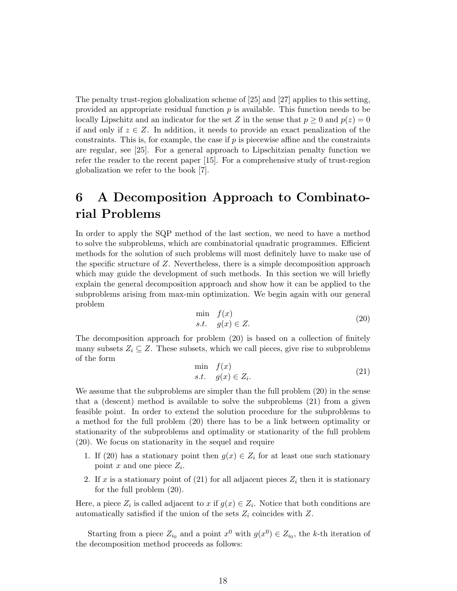The penalty trust-region globalization scheme of [25] and [27] applies to this setting, provided an appropriate residual function p is available. This function needs to be locally Lipschitz and an indicator for the set Z in the sense that  $p \geq 0$  and  $p(z) = 0$ if and only if  $z \in \mathbb{Z}$ . In addition, it needs to provide an exact penalization of the constraints. This is, for example, the case if  $p$  is piecewise affine and the constraints are regular, see [25]. For a general approach to Lipschitzian penalty function we refer the reader to the recent paper [15]. For a comprehensive study of trust-region globalization we refer to the book [7].

## 6 A Decomposition Approach to Combinatorial Problems

In order to apply the SQP method of the last section, we need to have a method to solve the subproblems, which are combinatorial quadratic programmes. Efficient methods for the solution of such problems will most definitely have to make use of the specific structure of Z. Nevertheless, there is a simple decomposition approach which may guide the development of such methods. In this section we will briefly explain the general decomposition approach and show how it can be applied to the subproblems arising from max-min optimization. We begin again with our general problem

$$
\min_{s.t.} f(x) \ns.t. g(x) \in Z.
$$
\n(20)

The decomposition approach for problem (20) is based on a collection of finitely many subsets  $Z_i \subseteq Z$ . These subsets, which we call pieces, give rise to subproblems of the form

$$
\min_{s.t.} f(x) \ns.t. g(x) \in Z_i.
$$
\n(21)

We assume that the subproblems are simpler than the full problem (20) in the sense that a (descent) method is available to solve the subproblems (21) from a given feasible point. In order to extend the solution procedure for the subproblems to a method for the full problem (20) there has to be a link between optimality or stationarity of the subproblems and optimality or stationarity of the full problem (20). We focus on stationarity in the sequel and require

- 1. If (20) has a stationary point then  $g(x) \in Z_i$  for at least one such stationary point  $x$  and one piece  $Z_i$ .
- 2. If x is a stationary point of (21) for all adjacent pieces  $Z_i$  then it is stationary for the full problem (20).

Here, a piece  $Z_i$  is called adjacent to x if  $g(x) \in Z_i$ . Notice that both conditions are automatically satisfied if the union of the sets  $Z_i$  coincides with  $Z$ .

Starting from a piece  $Z_{i_0}$  and a point  $x^0$  with  $g(x^0) \in Z_{i_0}$ , the k-th iteration of the decomposition method proceeds as follows: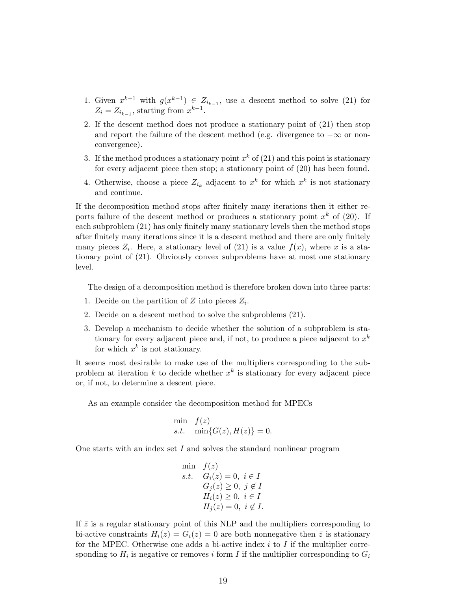- 1. Given  $x^{k-1}$  with  $g(x^{k-1}) \in Z_{i_{k-1}}$ , use a descent method to solve (21) for  $Z_i = Z_{i_{k-1}}$ , starting from  $x^{k-1}$ .
- 2. If the descent method does not produce a stationary point of (21) then stop and report the failure of the descent method (e.g. divergence to  $-\infty$  or nonconvergence).
- 3. If the method produces a stationary point  $x^k$  of (21) and this point is stationary for every adjacent piece then stop; a stationary point of (20) has been found.
- 4. Otherwise, choose a piece  $Z_{i_k}$  adjacent to  $x^k$  for which  $x^k$  is not stationary and continue.

If the decomposition method stops after finitely many iterations then it either reports failure of the descent method or produces a stationary point  $x^k$  of (20). If each subproblem (21) has only finitely many stationary levels then the method stops after finitely many iterations since it is a descent method and there are only finitely many pieces  $Z_i$ . Here, a stationary level of (21) is a value  $f(x)$ , where x is a stationary point of (21). Obviously convex subproblems have at most one stationary level.

The design of a decomposition method is therefore broken down into three parts:

- 1. Decide on the partition of  $Z$  into pieces  $Z_i$ .
- 2. Decide on a descent method to solve the subproblems (21).
- 3. Develop a mechanism to decide whether the solution of a subproblem is stationary for every adjacent piece and, if not, to produce a piece adjacent to  $x^k$ for which  $x^k$  is not stationary.

It seems most desirable to make use of the multipliers corresponding to the subproblem at iteration k to decide whether  $x^k$  is stationary for every adjacent piece or, if not, to determine a descent piece.

As an example consider the decomposition method for MPECs

$$
\min_{s.t.} f(z) \n\min\{G(z), H(z)\} = 0.
$$

One starts with an index set I and solves the standard nonlinear program

min  $f(z)$ s.t.  $G_i(z) = 0, i \in I$  $G_j(z) \geq 0, \ j \notin I$  $H_i(z) \geq 0, i \in I$  $H_i(z) = 0, i \notin I$ .

If  $\bar{z}$  is a regular stationary point of this NLP and the multipliers corresponding to bi-active constraints  $H_i(z) = G_i(z) = 0$  are both nonnegative then  $\bar{z}$  is stationary for the MPEC. Otherwise one adds a bi-active index  $i$  to  $I$  if the multiplier corresponding to  $H_i$  is negative or removes i form I if the multiplier corresponding to  $G_i$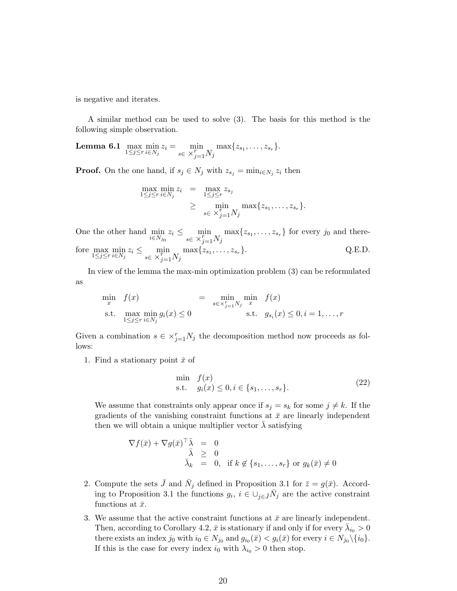is negative and iterates.

A similar method can be used to solve (3). The basis for this method is the following simple observation.

**Lemma 6.1** max  $\min_{1 \leq j \leq r} z_i = \min_{s \in X_{i-1}^r}$  $s \in \times_{j=1}^{r} N_j$  $\max\{z_{s_1}, \ldots, z_{s_r}\}.$ 

**Proof.** On the one hand, if  $s_j \in N_j$  with  $z_{s_j} = \min_{i \in N_j} z_i$  then

$$
\max_{1 \leq j \leq r} \min_{i \in N_j} z_i = \max_{1 \leq j \leq r} z_{s_j}
$$
\n
$$
\geq \min_{s \in \mathcal{X}_{j=1}^r N_j} \max\{z_{s_1}, \dots, z_{s_r}\}.
$$

One the other hand min  $i\in N_{j_0}$  $z_i \leq \min_{x \in \mathbb{R}}$  $s \in \times_{j=1}^r N_j$  $\max\{z_{s_1}, \ldots, z_{s_r}\}\$ for every  $j_0$  and therefore  $\max_{1 \leq j \leq r} \min_{i \in N_j} z_i \leq \min_{s \in X_{i-1}^r}$  $s \in \times_{j=1}^{r} N_j$  $\max\{z_{s_1}, \ldots, z_{s_r}\}.$  Q.E.D.

In view of the lemma the max-min optimization problem (3) can be reformulated as

$$
\min_{x} f(x) = \min_{s \in \times_{j=1}^{r} N_j} \min_{x} f(x)
$$
\n
$$
\text{s.t.} \max_{1 \le j \le r} \min_{i \in N_j} g_i(x) \le 0 \qquad \text{s.t.} \quad g_{s_i}(x) \le 0, i = 1, \dots, r
$$

Given a combination  $s \in \times_{j=1}^r N_j$  the decomposition method now proceeds as follows:

1. Find a stationary point  $\bar{x}$  of

$$
\min_{s.t.} f(x) \n s.t. \quad g_i(x) \le 0, i \in \{s_1, \dots, s_r\}.
$$
\n(22)

We assume that constraints only appear once if  $s_j = s_k$  for some  $j \neq k$ . If the gradients of the vanishing constraint functions at  $\bar{x}$  are linearly independent then we will obtain a unique multiplier vector  $\lambda$  satisfying

$$
\nabla f(\bar{x}) + \nabla g(\bar{x})^{\top} \bar{\lambda} = 0
$$
  
\n
$$
\bar{\lambda} \geq 0
$$
  
\n
$$
\bar{\lambda}_k = 0, \text{ if } k \notin \{s_1, \dots, s_r\} \text{ or } g_k(\bar{x}) \neq 0
$$

- 2. Compute the sets  $\bar{J}$  and  $\bar{N}_j$  defined in Proposition 3.1 for  $\bar{z} = g(\bar{x})$ . According to Proposition 3.1 the functions  $g_i, i \in \bigcup_{j \in \bar{J}} \bar{N}_j$  are the active constraint functions at  $\bar{x}$ .
- 3. We assume that the active constraint functions at  $\bar{x}$  are linearly independent. Then, according to Corollary 4.2,  $\bar{x}$  is stationary if and only if for every  $\bar{\lambda}_{i_0} > 0$ there exists an index  $j_0$  with  $i_0 \in N_{j_0}$  and  $g_{i_0}(\bar{x}) < g_i(\bar{x})$  for every  $i \in N_{j_0} \setminus \{i_0\}$ . If this is the case for every index  $i_0$  with  $\lambda_{i_0} > 0$  then stop.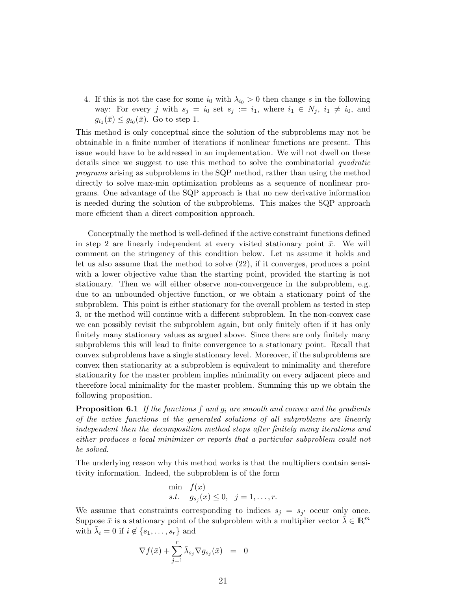4. If this is not the case for some  $i_0$  with  $\lambda_{i_0} > 0$  then change s in the following way: For every j with  $s_j = i_0$  set  $s_j := i_1$ , where  $i_1 \in N_j$ ,  $i_1 \neq i_0$ , and  $g_{i_1}(\bar{x}) \leq g_{i_0}(\bar{x})$ . Go to step 1.

This method is only conceptual since the solution of the subproblems may not be obtainable in a finite number of iterations if nonlinear functions are present. This issue would have to be addressed in an implementation. We will not dwell on these details since we suggest to use this method to solve the combinatorial quadratic programs arising as subproblems in the SQP method, rather than using the method directly to solve max-min optimization problems as a sequence of nonlinear programs. One advantage of the SQP approach is that no new derivative information is needed during the solution of the subproblems. This makes the SQP approach more efficient than a direct composition approach.

Conceptually the method is well-defined if the active constraint functions defined in step 2 are linearly independent at every visited stationary point  $\bar{x}$ . We will comment on the stringency of this condition below. Let us assume it holds and let us also assume that the method to solve (22), if it converges, produces a point with a lower objective value than the starting point, provided the starting is not stationary. Then we will either observe non-convergence in the subproblem, e.g. due to an unbounded objective function, or we obtain a stationary point of the subproblem. This point is either stationary for the overall problem as tested in step 3, or the method will continue with a different subproblem. In the non-convex case we can possibly revisit the subproblem again, but only finitely often if it has only finitely many stationary values as argued above. Since there are only finitely many subproblems this will lead to finite convergence to a stationary point. Recall that convex subproblems have a single stationary level. Moreover, if the subproblems are convex then stationarity at a subproblem is equivalent to minimality and therefore stationarity for the master problem implies minimality on every adjacent piece and therefore local minimality for the master problem. Summing this up we obtain the following proposition.

**Proposition 6.1** If the functions f and  $g_i$  are smooth and convex and the gradients of the active functions at the generated solutions of all subproblems are linearly independent then the decomposition method stops after finitely many iterations and either produces a local minimizer or reports that a particular subproblem could not be solved.

The underlying reason why this method works is that the multipliers contain sensitivity information. Indeed, the subproblem is of the form

$$
\min_{s.t.} f(x) \ns.t. g_{s_j}(x) \le 0, j = 1, \dots, r.
$$

We assume that constraints corresponding to indices  $s_j = s_{j'}$  occur only once. Suppose  $\bar{x}$  is a stationary point of the subproblem with a multiplier vector  $\bar{\lambda} \in \mathbb{R}^m$ with  $\bar{\lambda}_i = 0$  if  $i \notin \{s_1, \ldots, s_r\}$  and

$$
\nabla f(\bar{x}) + \sum_{j=1}^r \bar{\lambda}_{s_j} \nabla g_{s_j}(\bar{x}) = 0
$$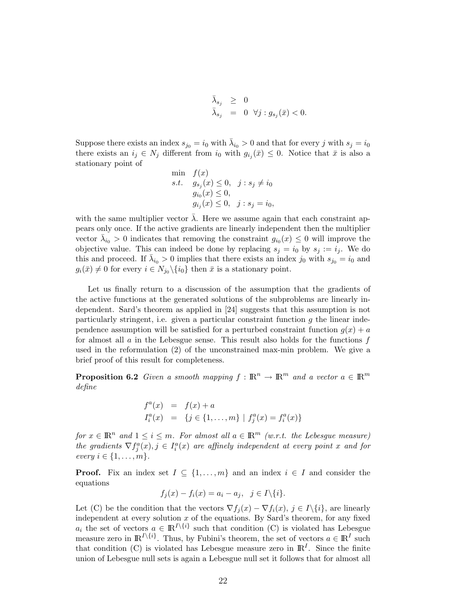$$
\begin{array}{rcl} \bar{\lambda}_{s_j} & \geq & 0 \\ \bar{\lambda}_{s_j} & = & 0 \ \ \forall j: g_{s_j}(\bar{x}) < 0. \end{array}
$$

Suppose there exists an index  $s_{j0} = i_0$  with  $\bar{\lambda}_{i_0} > 0$  and that for every j with  $s_j = i_0$ there exists an  $i_j \in N_j$  different from  $i_0$  with  $g_{i_j}(\bar{x}) \leq 0$ . Notice that  $\bar{x}$  is also a stationary point of

min 
$$
f(x)
$$
  
s.t.  $g_{s_j}(x) \le 0$ ,  $j : s_j \ne i_0$   
 $g_{i_0}(x) \le 0$ ,  
 $g_{i_j}(x) \le 0$ ,  $j : s_j = i_0$ ,

with the same multiplier vector  $\bar{\lambda}$ . Here we assume again that each constraint appears only once. If the active gradients are linearly independent then the multiplier vector  $\bar{\lambda}_{i_0} > 0$  indicates that removing the constraint  $g_{i_0}(x) \leq 0$  will improve the objective value. This can indeed be done by replacing  $s_j = i_0$  by  $s_j := i_j$ . We do this and proceed. If  $\bar{\lambda}_{i_0} > 0$  implies that there exists an index j<sub>0</sub> with  $s_{j_0} = i_0$  and  $g_i(\bar{x}) \neq 0$  for every  $i \in N_{j_0} \setminus \{i_0\}$  then  $\bar{x}$  is a stationary point.

Let us finally return to a discussion of the assumption that the gradients of the active functions at the generated solutions of the subproblems are linearly independent. Sard's theorem as applied in [24] suggests that this assumption is not particularly stringent, i.e. given a particular constraint function  $g$  the linear independence assumption will be satisfied for a perturbed constraint function  $g(x) + a$ for almost all  $\alpha$  in the Lebesgue sense. This result also holds for the functions  $f$ used in the reformulation (2) of the unconstrained max-min problem. We give a brief proof of this result for completeness.

**Proposition 6.2** Given a smooth mapping  $f : \mathbb{R}^n \to \mathbb{R}^m$  and a vector  $a \in \mathbb{R}^m$ define

$$
f^{a}(x) = f(x) + a
$$
  
\n
$$
I_{i}^{a}(x) = \{j \in \{1, ..., m\} \mid f_{j}^{a}(x) = f_{i}^{a}(x)\}\
$$

for  $x \in \mathbb{R}^n$  and  $1 \leq i \leq m$ . For almost all  $a \in \mathbb{R}^m$  (w.r.t. the Lebesgue measure) the gradients  $\nabla f_j^a(x), j \in I_i^a(x)$  are affinely independent at every point x and for every  $i \in \{1, \ldots, m\}.$ 

**Proof.** Fix an index set  $I \subseteq \{1, ..., m\}$  and an index  $i \in I$  and consider the equations

$$
f_j(x) - f_i(x) = a_i - a_j, \ \ j \in I \setminus \{i\}.
$$

Let (C) be the condition that the vectors  $\nabla f_j(x) - \nabla f_i(x)$ ,  $j \in I \setminus \{i\}$ , are linearly independent at every solution  $x$  of the equations. By Sard's theorem, for any fixed  $a_i$  the set of vectors  $a \in \mathbb{R}^{I \setminus \{i\}}$  such that condition (C) is violated has Lebesgue measure zero in  $\mathbb{R}^{I\setminus\{i\}}$ . Thus, by Fubini's theorem, the set of vectors  $a \in \mathbb{R}^{I}$  such that condition (C) is violated has Lebesgue measure zero in  $\mathbb{R}^{I}$ . Since the finite union of Lebesgue null sets is again a Lebesgue null set it follows that for almost all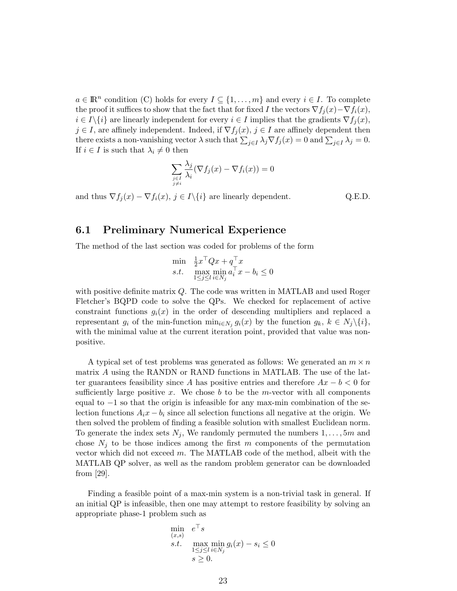$a \in \mathbb{R}^n$  condition (C) holds for every  $I \subseteq \{1, \ldots, m\}$  and every  $i \in I$ . To complete the proof it suffices to show that the fact that for fixed I the vectors  $\nabla f_j(x) - \nabla f_i(x)$ ,  $i \in I\backslash\{i\}$  are linearly independent for every  $i \in I$  implies that the gradients  $\nabla f_i(x)$ ,  $j \in I$ , are affinely independent. Indeed, if  $\nabla f_j(x)$ ,  $j \in I$  are affinely dependent then there exists a non-vanishing vector  $\lambda$  such that  $\sum_{j\in I} \lambda_j \nabla f_j(x) = 0$  and  $\sum_{j\in I} \lambda_j = 0$ . If  $i \in I$  is such that  $\lambda_i \neq 0$  then

$$
\sum_{\substack{j\in I\\j\neq i}}\frac{\lambda_j}{\lambda_i}(\nabla f_j(x)-\nabla f_i(x))=0
$$

and thus  $\nabla f_j(x) - \nabla f_i(x)$ ,  $j \in I \setminus \{i\}$  are linearly dependent. Q.E.D.

#### 6.1 Preliminary Numerical Experience

The method of the last section was coded for problems of the form

$$
\min_{\substack{\mathbf{z} \to \mathbf{z} \\ \mathbf{z} \to \mathbf{z}}} \frac{\frac{1}{2}x^\top Qx + q^\top x}{\max_{1 \le j \le l} \min_{i \in N_j} a_i^\top x - b_i} \le 0
$$

with positive definite matrix Q. The code was written in MATLAB and used Roger Fletcher's BQPD code to solve the QPs. We checked for replacement of active constraint functions  $g_i(x)$  in the order of descending multipliers and replaced a representant  $g_i$  of the min-function  $\min_{i \in N_j} g_i(x)$  by the function  $g_k, k \in N_j \setminus \{i\},$ with the minimal value at the current iteration point, provided that value was nonpositive.

A typical set of test problems was generated as follows: We generated an  $m \times n$ matrix A using the RANDN or RAND functions in MATLAB. The use of the latter guarantees feasibility since A has positive entries and therefore  $Ax - b < 0$  for sufficiently large positive x. We chose b to be the m-vector with all components equal to −1 so that the origin is infeasible for any max-min combination of the selection functions  $A_i x - b_i$  since all selection functions all negative at the origin. We then solved the problem of finding a feasible solution with smallest Euclidean norm. To generate the index sets  $N_j$ , We randomly permuted the numbers  $1, \ldots, 5m$  and chose  $N_i$  to be those indices among the first m components of the permutation vector which did not exceed m. The MATLAB code of the method, albeit with the MATLAB QP solver, as well as the random problem generator can be downloaded from [29].

Finding a feasible point of a max-min system is a non-trivial task in general. If an initial QP is infeasible, then one may attempt to restore feasibility by solving an appropriate phase-1 problem such as

$$
\min_{\substack{(x,s) \\ s.t.}} e^{\top} s
$$
\n
$$
\max_{1 \le j \le l} \min_{i \in N_j} g_i(x) - s_i \le 0
$$
\n
$$
s \ge 0.
$$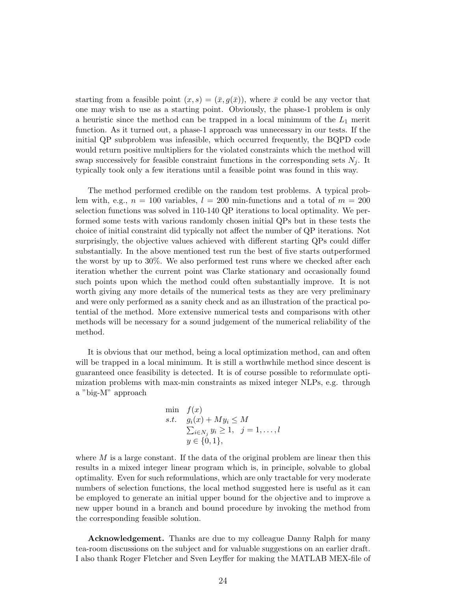starting from a feasible point  $(x, s) = (\bar{x}, q(\bar{x}))$ , where  $\bar{x}$  could be any vector that one may wish to use as a starting point. Obviously, the phase-1 problem is only a heuristic since the method can be trapped in a local minimum of the  $L_1$  merit function. As it turned out, a phase-1 approach was unnecessary in our tests. If the initial QP subproblem was infeasible, which occurred frequently, the BQPD code would return positive multipliers for the violated constraints which the method will swap successively for feasible constraint functions in the corresponding sets  $N_i$ . It typically took only a few iterations until a feasible point was found in this way.

The method performed credible on the random test problems. A typical problem with, e.g.,  $n = 100$  variables,  $l = 200$  min-functions and a total of  $m = 200$ selection functions was solved in 110-140 QP iterations to local optimality. We performed some tests with various randomly chosen initial QPs but in these tests the choice of initial constraint did typically not affect the number of QP iterations. Not surprisingly, the objective values achieved with different starting QPs could differ substantially. In the above mentioned test run the best of five starts outperformed the worst by up to 30%. We also performed test runs where we checked after each iteration whether the current point was Clarke stationary and occasionally found such points upon which the method could often substantially improve. It is not worth giving any more details of the numerical tests as they are very preliminary and were only performed as a sanity check and as an illustration of the practical potential of the method. More extensive numerical tests and comparisons with other methods will be necessary for a sound judgement of the numerical reliability of the method.

It is obvious that our method, being a local optimization method, can and often will be trapped in a local minimum. It is still a worthwhile method since descent is guaranteed once feasibility is detected. It is of course possible to reformulate optimization problems with max-min constraints as mixed integer NLPs, e.g. through a "big-M" approach

$$
\begin{array}{ll}\n\min & f(x) \\
s.t. & g_i(x) + My_i \le M \\
& \sum_{i \in N_j} y_i \ge 1, \quad j = 1, \dots, l \\
y \in \{0, 1\},\n\end{array}
$$

where  $M$  is a large constant. If the data of the original problem are linear then this results in a mixed integer linear program which is, in principle, solvable to global optimality. Even for such reformulations, which are only tractable for very moderate numbers of selection functions, the local method suggested here is useful as it can be employed to generate an initial upper bound for the objective and to improve a new upper bound in a branch and bound procedure by invoking the method from the corresponding feasible solution.

Acknowledgement. Thanks are due to my colleague Danny Ralph for many tea-room discussions on the subject and for valuable suggestions on an earlier draft. I also thank Roger Fletcher and Sven Leyffer for making the MATLAB MEX-file of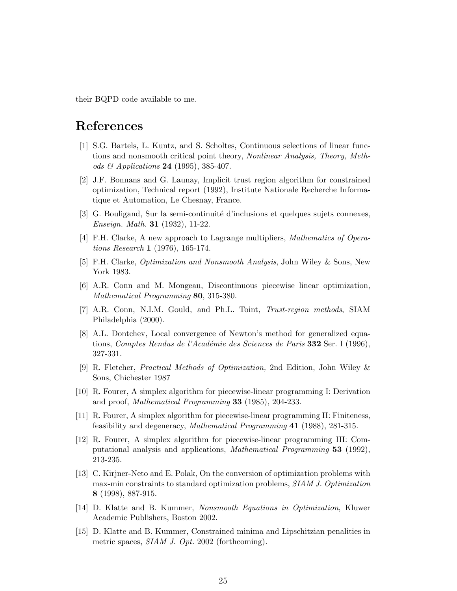their BQPD code available to me.

## References

- [1] S.G. Bartels, L. Kuntz, and S. Scholtes, Continuous selections of linear functions and nonsmooth critical point theory, Nonlinear Analysis, Theory, Methods  $\mathcal{C}$  Applications 24 (1995), 385-407.
- [2] J.F. Bonnans and G. Launay, Implicit trust region algorithm for constrained optimization, Technical report (1992), Institute Nationale Recherche Informatique et Automation, Le Chesnay, France.
- [3] G. Bouligand, Sur la semi-continuité d'inclusions et quelques sujets connexes, Enseign. Math. 31 (1932), 11-22.
- [4] F.H. Clarke, A new approach to Lagrange multipliers, Mathematics of Operations Research 1 (1976), 165-174.
- [5] F.H. Clarke, Optimization and Nonsmooth Analysis, John Wiley & Sons, New York 1983.
- [6] A.R. Conn and M. Mongeau, Discontinuous piecewise linear optimization, Mathematical Programming 80, 315-380.
- [7] A.R. Conn, N.I.M. Gould, and Ph.L. Toint, Trust-region methods, SIAM Philadelphia (2000).
- [8] A.L. Dontchev, Local convergence of Newton's method for generalized equations, Comptes Rendus de l'Académie des Sciences de Paris 332 Ser. I (1996), 327-331.
- [9] R. Fletcher, Practical Methods of Optimization, 2nd Edition, John Wiley & Sons, Chichester 1987
- [10] R. Fourer, A simplex algorithm for piecewise-linear programming I: Derivation and proof, *Mathematical Programming* 33 (1985), 204-233.
- [11] R. Fourer, A simplex algorithm for piecewise-linear programming II: Finiteness, feasibility and degeneracy, Mathematical Programming 41 (1988), 281-315.
- [12] R. Fourer, A simplex algorithm for piecewise-linear programming III: Computational analysis and applications, Mathematical Programming 53 (1992), 213-235.
- [13] C. Kirjner-Neto and E. Polak, On the conversion of optimization problems with max-min constraints to standard optimization problems, SIAM J. Optimization 8 (1998), 887-915.
- [14] D. Klatte and B. Kummer, Nonsmooth Equations in Optimization, Kluwer Academic Publishers, Boston 2002.
- [15] D. Klatte and B. Kummer, Constrained minima and Lipschitzian penalities in metric spaces, SIAM J. Opt. 2002 (forthcoming).